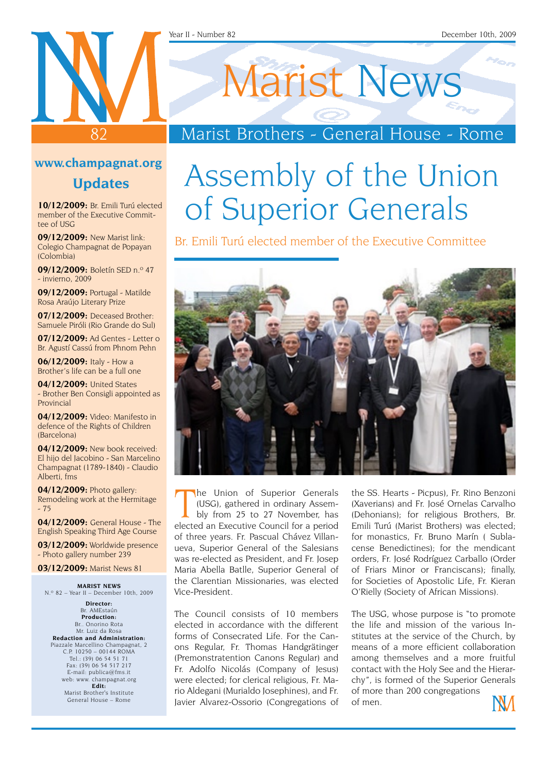#### Year II - Number 82 December 10th, 2009

# Marist News

### Marist Brothers - General House - Rome

### **www.champagnat.org**

82

### **Updates**

**10/12/2009:** Br. Emili Turú elected member of the Executive Committee of USG

**09/12/2009:** New Marist link: Colegio Champagnat de Popayan (Colombia)

**09/12/2009:** Boletín SED n.º 47 - invierno, 2009

**09/12/2009:** Portugal - Matilde Rosa Araújo Literary Prize

**07/12/2009:** Deceased Brother: Samuele Piróli (Rio Grande do Sul)

**07/12/2009:** Ad Gentes - Letter o Br. Agustí Cassú from Phnom Pehn

**06/12/2009:** Italy - How a Brother's life can be a full one

**04/12/2009:** United States - Brother Ben Consigli appointed as Provincial

**04/12/2009:** Video: Manifesto in defence of the Rights of Children (Barcelona)

**04/12/2009:** New book received: El hijo del Jacobino - San Marcelino Champagnat (1789-1840) - Claudio Alberti, fms

**04/12/2009:** Photo gallery: Remodeling work at the Hermitage - 75

**04/12/2009:** General House - The English Speaking Third Age Course

**03/12/2009:** Worldwide presence - Photo gallery number 239

**03/12/2009:** Marist News 81

**MARIST nEWS** N.º 82 – Year II – December 10th, 2009

**Director:** Br. AMEstaún **Production:** Br.. Onorino Rota Mr. Luiz da Rosa **Redaction and Administration:** Piazzale Marcellino Champagnat, 2 C.P. 10250 – 00144 ROMA Tel.: (39) 06 54 51 71 Fax: (39) 06 54 517 217 E-mail: publica@fms.it web: www. champagnat.org **Edit:** Marist Brother's Institute General House – Rome

# Assembly of the Union of Superior Generals

Br. Emili Turú elected member of the Executive Committee



The Union of Superior Generals<br>
(USG), gathered in ordinary Assem-<br>
bly from 25 to 27 November, has<br>
elected an Executive Council for a period he Union of Superior Generals (USG), gathered in ordinary Assembly from 25 to 27 November, has of three years. Fr. Pascual Chávez Villanueva, Superior General of the Salesians was re-elected as President, and Fr. Josep Maria Abella Batlle, Superior General of the Clarentian Missionaries, was elected Vice-President.

The Council consists of 10 members elected in accordance with the different forms of Consecrated Life. For the Canons Regular, Fr. Thomas Handgrätinger (Premonstratention Canons Regular) and Fr. Adolfo Nicolás (Company of Jesus) were elected; for clerical religious, Fr. Mario Aldegani (Murialdo Josephines), and Fr. Javier Alvarez-Ossorio (Congregations of

the SS. Hearts - Picpus), Fr. Rino Benzoni (Xaverians) and Fr. José Ornelas Carvalho (Dehonians); for religious Brothers, Br. Emili Turú (Marist Brothers) was elected; for monastics, Fr. Bruno Marín ( Sublacense Benedictines); for the mendicant orders, Fr. José Rodríguez Carballo (Order of Friars Minor or Franciscans); finally, for Societies of Apostolic Life, Fr. Kieran O'Rielly (Society of African Missions).

The USG, whose purpose is "to promote the life and mission of the various Institutes at the service of the Church, by means of a more efficient collaboration among themselves and a more fruitful contact with the Holy See and the Hierarchy", is formed of the Superior Generals of more than 200 congregations of men.

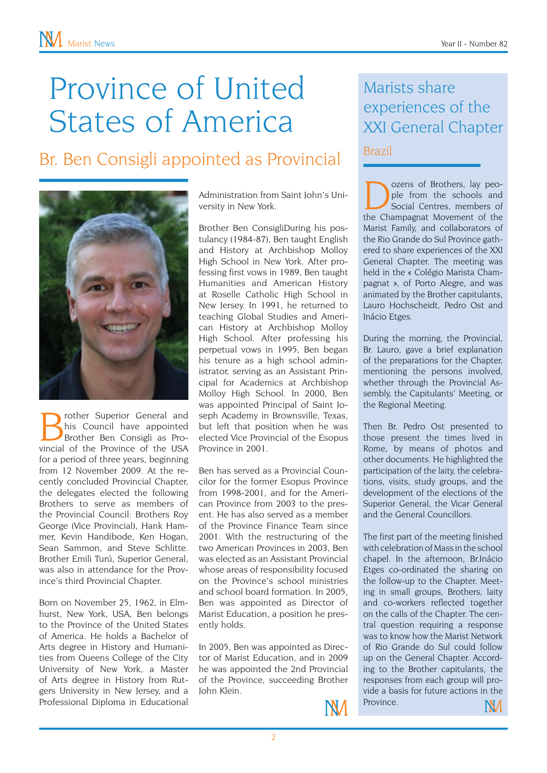## Province of United States of America

### Br. Ben Consigli appointed as Provincial



**Brother Superior General and**<br>his Council have appointed<br>Brother Ben Consigli as Provincial of the Province of the USA his Council have appointed Brother Ben Consigli as Provincial of the Province of the USA for a period of three years, beginning from 12 November 2009. At the recently concluded Provincial Chapter, the delegates elected the following Brothers to serve as members of the Provincial Council: Brothers Roy George (Vice Provincial), Hank Hammer, Kevin Handibode, Ken Hogan, Sean Sammon, and Steve Schlitte. Brother Emili Turú, Superior General, was also in attendance for the Province's third Provincial Chapter.

Born on November 25, 1962, in Elmhurst, New York, USA, Ben belongs to the Province of the United States of America. He holds a Bachelor of Arts degree in History and Humanities from Queens College of the City University of New York, a Master of Arts degree in History from Rutgers University in New Jersey, and a Professional Diploma in Educational

Administration from Saint John's University in New York.

Brother Ben ConsigliDuring his postulancy (1984-87), Ben taught English and History at Archbishop Molloy High School in New York. After professing first vows in 1989, Ben taught Humanities and American History at Roselle Catholic High School in New Jersey. In 1991, he returned to teaching Global Studies and American History at Archbishop Molloy High School. After professing his perpetual vows in 1995, Ben began his tenure as a high school administrator, serving as an Assistant Principal for Academics at Archbishop Molloy High School. In 2000, Ben was appointed Principal of Saint Joseph Academy in Brownsville, Texas, but left that position when he was elected Vice Provincial of the Esopus Province in 2001.

Ben has served as a Provincial Councilor for the former Esopus Province from 1998-2001, and for the American Province from 2003 to the present. He has also served as a member of the Province Finance Team since 2001. With the restructuring of the two American Provinces in 2003, Ben was elected as an Assistant Provincial whose areas of responsibility focused on the Province's school ministries and school board formation. In 2005, Ben was appointed as Director of Marist Education, a position he presently holds.

In 2005, Ben was appointed as Director of Marist Education, and in 2009 he was appointed the 2nd Provincial of the Province, succeeding Brother John Klein.



#### Dozens of Brothers, lay peo-<br>ple from the schools and<br>social Centres, members of<br>the Champagnat Movement of the ple from the schools and Social Centres, members of the Champagnat Movement of the Marist Family, and collaborators of the Rio Grande do Sul Province gathered to share experiences of the XXI General Chapter. The meeting was held in the « Colégio Marista Champagnat », of Porto Alegre, and was animated by the Brother capitulants, Lauro Hochscheidt, Pedro Ost and Inácio Etges.

During the morning, the Provincial, Br. Lauro, gave a brief explanation of the preparations for the Chapter, mentioning the persons involved, whether through the Provincial Assembly, the Capitulants' Meeting, or the Regional Meeting.

Then Br. Pedro Ost presented to those present the times lived in Rome, by means of photos and other documents. He highlighted the participation of the laity, the celebrations, visits, study groups, and the development of the elections of the Superior General, the Vicar General and the General Councillors.

The first part of the meeting finished with celebration of Mass in the school chapel. In the afternoon, Br.Inácio Etges co-ordinated the sharing on the follow-up to the Chapter. Meeting in small groups, Brothers, laity and co-workers reflected together on the calls of the Chapter. The central question requiring a response was to know how the Marist Network of Rio Grande do Sul could follow up on the General Chapter. According to the Brother capitulants, the responses from each group will provide a basis for future actions in the **Province** NМ

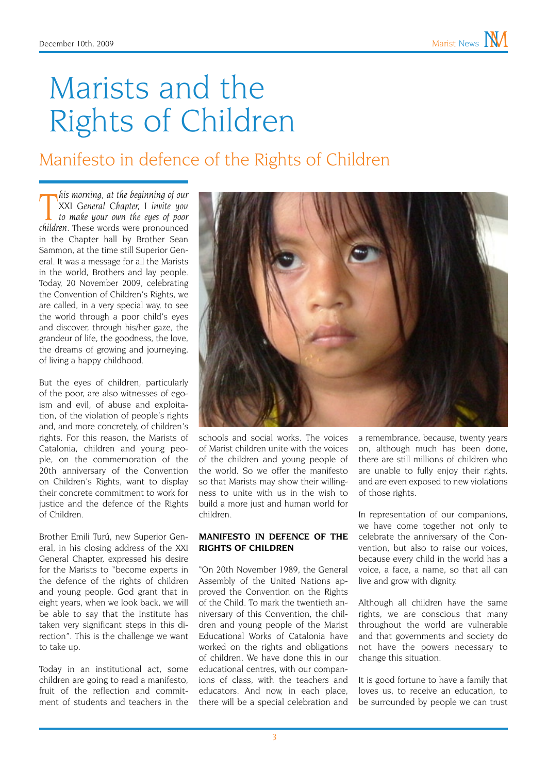# Marists and the Rights of Children

### Manifesto in defence of the Rights of Children

*Filis morning, at the beginning of our*<br>
XXI General Chapter, I invite you<br> *to make your own the eyes of poor*<br> *Children.* These words were pronounced *his morning, at the beginning of our XXI General Chapter, I invite you to make your own the eyes of poor*  in the Chapter hall by Brother Sean Sammon, at the time still Superior General. It was a message for all the Marists in the world, Brothers and lay people. Today, 20 November 2009, celebrating the Convention of Children's Rights, we are called, in a very special way, to see the world through a poor child's eyes and discover, through his/her gaze, the grandeur of life, the goodness, the love, the dreams of growing and journeying, of living a happy childhood.

But the eyes of children, particularly of the poor, are also witnesses of egoism and evil, of abuse and exploitation, of the violation of people's rights and, and more concretely, of children's rights. For this reason, the Marists of Catalonia, children and young people, on the commemoration of the 20th anniversary of the Convention on Children's Rights, want to display their concrete commitment to work for justice and the defence of the Rights of Children.

Brother Emili Turú, new Superior General, in his closing address of the XXI General Chapter, expressed his desire for the Marists to "become experts in the defence of the rights of children and young people. God grant that in eight years, when we look back, we will be able to say that the Institute has taken very significant steps in this direction". This is the challenge we want to take up.

Today in an institutional act, some children are going to read a manifesto, fruit of the reflection and commitment of students and teachers in the



schools and social works. The voices of Marist children unite with the voices of the children and young people of the world. So we offer the manifesto so that Marists may show their willingness to unite with us in the wish to build a more just and human world for children.

#### **MANIFESTO IN DEFENCE OF THE RIGHTS OF CHILDREN**

"On 20th November 1989, the General Assembly of the United Nations approved the Convention on the Rights of the Child. To mark the twentieth anniversary of this Convention, the children and young people of the Marist Educational Works of Catalonia have worked on the rights and obligations of children. We have done this in our educational centres, with our companions of class, with the teachers and educators. And now, in each place, there will be a special celebration and

a remembrance, because, twenty years on, although much has been done, there are still millions of children who are unable to fully enjoy their rights, and are even exposed to new violations of those rights.

In representation of our companions, we have come together not only to celebrate the anniversary of the Convention, but also to raise our voices, because every child in the world has a voice, a face, a name, so that all can live and grow with dignity.

Although all children have the same rights, we are conscious that many throughout the world are vulnerable and that governments and society do not have the powers necessary to change this situation.

It is good fortune to have a family that loves us, to receive an education, to be surrounded by people we can trust